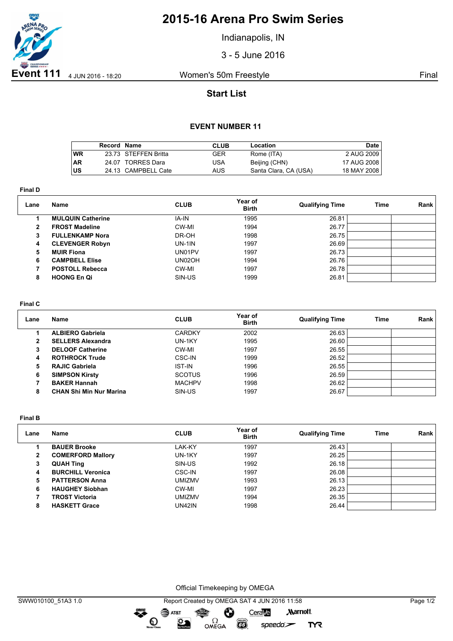

## **2015-16 Arena Pro Swim Series**

Indianapolis, IN

3 - 5 June 2016

## **Start List**

### **EVENT NUMBER 11**

|           | Record Name |                      | <b>CLUB</b> | Location              | Date I        |
|-----------|-------------|----------------------|-------------|-----------------------|---------------|
| <b>WR</b> |             | 23.73 STEFFEN Britta | GER         | Rome (ITA)            | 2 AUG 2009    |
| <b>AR</b> |             | 24.07 TORRES Dara    | USA         | Beijing (CHN)         | 17 AUG 2008 I |
| lus       |             | 24.13 CAMPBELL Cate  | AUS         | Santa Clara, CA (USA) | 18 MAY 2008   |

**Final D**

| Lane         | <b>Name</b>              | <b>CLUB</b> | Year of<br><b>Birth</b> | <b>Qualifying Time</b> | Time | Rank |
|--------------|--------------------------|-------------|-------------------------|------------------------|------|------|
|              | <b>MULQUIN Catherine</b> | IA-IN       | 1995                    | 26.81                  |      |      |
| $\mathbf{2}$ | <b>FROST Madeline</b>    | CW-MI       | 1994                    | 26.77                  |      |      |
| 3            | <b>FULLENKAMP Nora</b>   | DR-OH       | 1998                    | 26.75                  |      |      |
| 4            | <b>CLEVENGER Robyn</b>   | $UN-1IN$    | 1997                    | 26.69                  |      |      |
| 5            | <b>MUIR Fiona</b>        | UN01PV      | 1997                    | 26.73                  |      |      |
| 6            | <b>CAMPBELL Elise</b>    | UN02OH      | 1994                    | 26.76                  |      |      |
|              | <b>POSTOLL Rebecca</b>   | CW-MI       | 1997                    | 26.78                  |      |      |
| 8            | <b>HOONG En Qi</b>       | SIN-US      | 1999                    | 26.81                  |      |      |
|              |                          |             |                         |                        |      |      |

#### **Final C**

| Lane | Name                           | <b>CLUB</b>   | Year of<br><b>Birth</b> | <b>Qualifying Time</b> | Time | Rank |
|------|--------------------------------|---------------|-------------------------|------------------------|------|------|
|      | <b>ALBIERO Gabriela</b>        | <b>CARDKY</b> | 2002                    | 26.63                  |      |      |
| 2    | <b>SELLERS Alexandra</b>       | UN-1KY        | 1995                    | 26.60                  |      |      |
| з    | <b>DELOOF Catherine</b>        | CW-MI         | 1997                    | 26.55                  |      |      |
| 4    | <b>ROTHROCK Trude</b>          | CSC-IN        | 1999                    | 26.52                  |      |      |
| 5    | <b>RAJIC Gabriela</b>          | <b>IST-IN</b> | 1996                    | 26.55                  |      |      |
| 6    | <b>SIMPSON Kirsty</b>          | <b>SCOTUS</b> | 1996                    | 26.59                  |      |      |
|      | <b>BAKER Hannah</b>            | <b>MACHPV</b> | 1998                    | 26.62                  |      |      |
| 8    | <b>CHAN Shi Min Nur Marina</b> | SIN-US        | 1997                    | 26.67                  |      |      |

**Final B**

| Lane         | Name                     | <b>CLUB</b> | Year of<br><b>Birth</b> | <b>Qualifying Time</b> | Time | Rank |
|--------------|--------------------------|-------------|-------------------------|------------------------|------|------|
|              | <b>BAUER Brooke</b>      | LAK-KY      | 1997                    | 26.43                  |      |      |
| $\mathbf{2}$ | <b>COMERFORD Mallory</b> | UN-1KY      | 1997                    | 26.25                  |      |      |
| 3            | <b>QUAH Ting</b>         | SIN-US      | 1992                    | 26.18                  |      |      |
| 4            | <b>BURCHILL Veronica</b> | CSC-IN      | 1997                    | 26.08                  |      |      |
| 5            | <b>PATTERSON Anna</b>    | UMIZMV      | 1993                    | 26.13                  |      |      |
| 6            | <b>HAUGHEY Siobhan</b>   | CW-MI       | 1997                    | 26.23                  |      |      |
|              | <b>TROST Victoria</b>    | UMIZMV      | 1994                    | 26.35                  |      |      |
| 8            | <b>HASKETT Grace</b>     | UN42IN      | 1998                    | 26.44                  |      |      |

Official Timekeeping by OMEGA

OMEGA

Ô

**CO** 

CeraVe

 $speedo$ 

**Marriott** 

**TYR** 

dreng:

 $\mathbf{O}$ 

SAT&T

 $\mathfrak{D}$